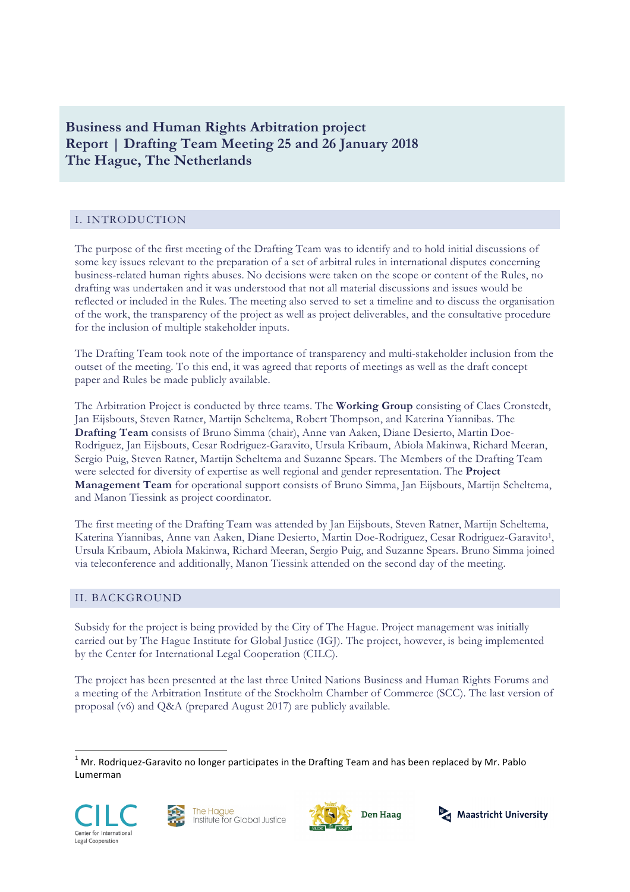# **Business and Human Rights Arbitration project Report | Drafting Team Meeting 25 and 26 January 2018 The Hague, The Netherlands**

# I. INTRODUCTION

The purpose of the first meeting of the Drafting Team was to identify and to hold initial discussions of some key issues relevant to the preparation of a set of arbitral rules in international disputes concerning business-related human rights abuses. No decisions were taken on the scope or content of the Rules, no drafting was undertaken and it was understood that not all material discussions and issues would be reflected or included in the Rules. The meeting also served to set a timeline and to discuss the organisation of the work, the transparency of the project as well as project deliverables, and the consultative procedure for the inclusion of multiple stakeholder inputs.

The Drafting Team took note of the importance of transparency and multi-stakeholder inclusion from the outset of the meeting. To this end, it was agreed that reports of meetings as well as the draft concept paper and Rules be made publicly available.

The Arbitration Project is conducted by three teams. The **Working Group** consisting of Claes Cronstedt, Jan Eijsbouts, Steven Ratner, Martijn Scheltema, Robert Thompson, and Katerina Yiannibas. The **Drafting Team** consists of Bruno Simma (chair), Anne van Aaken, Diane Desierto, Martin Doe-Rodriguez, Jan Eijsbouts, Cesar Rodriguez-Garavito, Ursula Kribaum, Abiola Makinwa, Richard Meeran, Sergio Puig, Steven Ratner, Martijn Scheltema and Suzanne Spears. The Members of the Drafting Team were selected for diversity of expertise as well regional and gender representation. The **Project Management Team** for operational support consists of Bruno Simma, Jan Eijsbouts, Martijn Scheltema, and Manon Tiessink as project coordinator.

The first meeting of the Drafting Team was attended by Jan Eijsbouts, Steven Ratner, Martijn Scheltema, Katerina Yiannibas, Anne van Aaken, Diane Desierto, Martin Doe-Rodriguez, Cesar Rodriguez-Garavito1, Ursula Kribaum, Abiola Makinwa, Richard Meeran, Sergio Puig, and Suzanne Spears. Bruno Simma joined via teleconference and additionally, Manon Tiessink attended on the second day of the meeting.

## II. BACKGROUND

Subsidy for the project is being provided by the City of The Hague. Project management was initially carried out by The Hague Institute for Global Justice (IGJ). The project, however, is being implemented by the Center for International Legal Cooperation (CILC).

The project has been presented at the last three United Nations Business and Human Rights Forums and a meeting of the Arbitration Institute of the Stockholm Chamber of Commerce (SCC). The last version of proposal (v6) and Q&A (prepared August 2017) are publicly available.

 $1$  Mr. Rodriquez-Garavito no longer participates in the Drafting Team and has been replaced by Mr. Pablo Lumerman







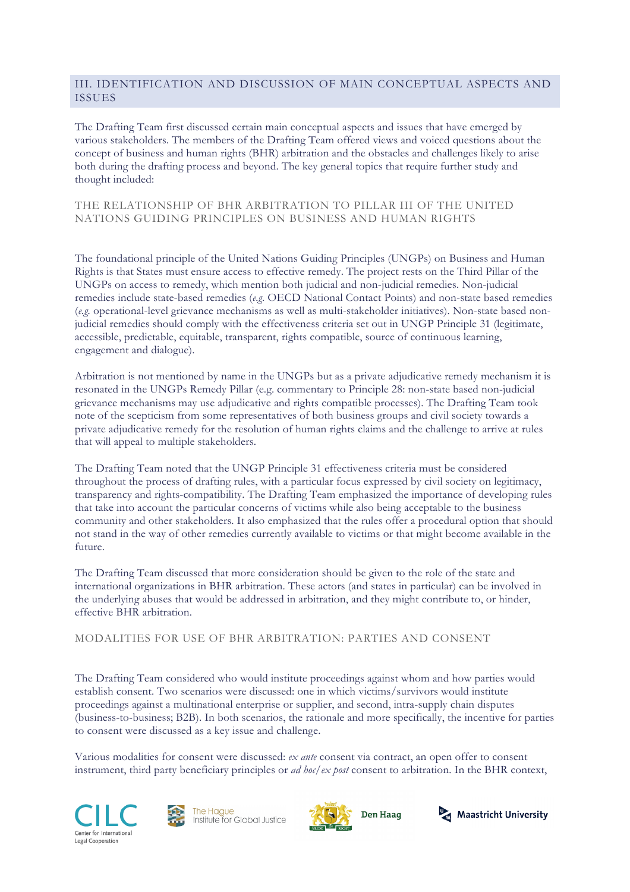## III. IDENTIFICATION AND DISCUSSION OF MAIN CONCEPTUAL ASPECTS AND ISSUES

The Drafting Team first discussed certain main conceptual aspects and issues that have emerged by various stakeholders. The members of the Drafting Team offered views and voiced questions about the concept of business and human rights (BHR) arbitration and the obstacles and challenges likely to arise both during the drafting process and beyond. The key general topics that require further study and thought included:

## THE RELATIONSHIP OF BHR ARBITRATION TO PILLAR III OF THE UNITED NATIONS GUIDING PRINCIPLES ON BUSINESS AND HUMAN RIGHTS

The foundational principle of the United Nations Guiding Principles (UNGPs) on Business and Human Rights is that States must ensure access to effective remedy. The project rests on the Third Pillar of the UNGPs on access to remedy, which mention both judicial and non-judicial remedies. Non-judicial remedies include state-based remedies (*e.g.* OECD National Contact Points) and non-state based remedies (*e.g.* operational-level grievance mechanisms as well as multi-stakeholder initiatives). Non-state based nonjudicial remedies should comply with the effectiveness criteria set out in UNGP Principle 31 (legitimate, accessible, predictable, equitable, transparent, rights compatible, source of continuous learning, engagement and dialogue).

Arbitration is not mentioned by name in the UNGPs but as a private adjudicative remedy mechanism it is resonated in the UNGPs Remedy Pillar (e.g. commentary to Principle 28: non-state based non-judicial grievance mechanisms may use adjudicative and rights compatible processes). The Drafting Team took note of the scepticism from some representatives of both business groups and civil society towards a private adjudicative remedy for the resolution of human rights claims and the challenge to arrive at rules that will appeal to multiple stakeholders.

The Drafting Team noted that the UNGP Principle 31 effectiveness criteria must be considered throughout the process of drafting rules, with a particular focus expressed by civil society on legitimacy, transparency and rights-compatibility. The Drafting Team emphasized the importance of developing rules that take into account the particular concerns of victims while also being acceptable to the business community and other stakeholders. It also emphasized that the rules offer a procedural option that should not stand in the way of other remedies currently available to victims or that might become available in the future.

The Drafting Team discussed that more consideration should be given to the role of the state and international organizations in BHR arbitration. These actors (and states in particular) can be involved in the underlying abuses that would be addressed in arbitration, and they might contribute to, or hinder, effective BHR arbitration.

MODALITIES FOR USE OF BHR ARBITRATION: PARTIES AND CONSENT

The Drafting Team considered who would institute proceedings against whom and how parties would establish consent. Two scenarios were discussed: one in which victims/survivors would institute proceedings against a multinational enterprise or supplier, and second, intra-supply chain disputes (business-to-business; B2B). In both scenarios, the rationale and more specifically, the incentive for parties to consent were discussed as a key issue and challenge.

Various modalities for consent were discussed: *ex ante* consent via contract, an open offer to consent instrument, third party beneficiary principles or *ad hoc*/*ex post* consent to arbitration. In the BHR context,







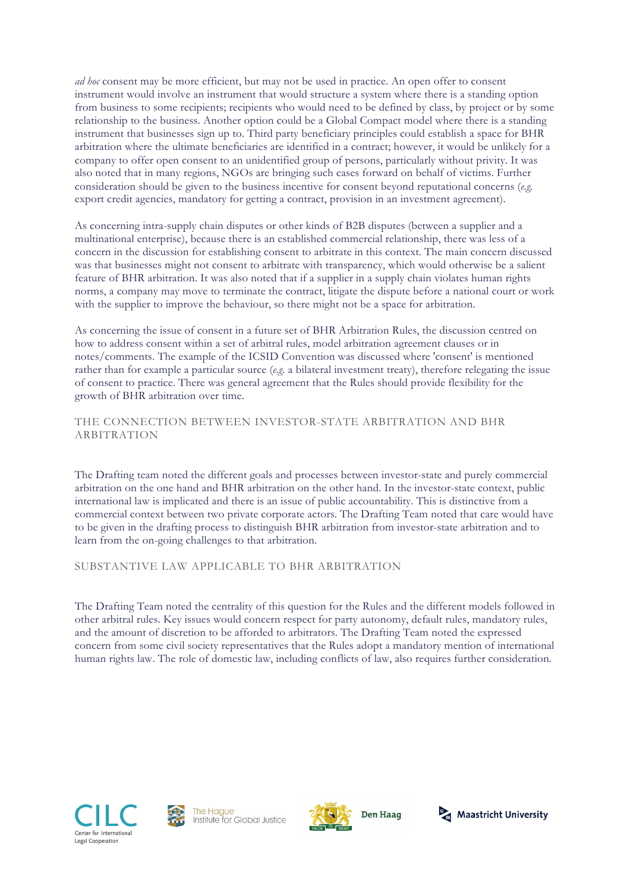*ad hoc* consent may be more efficient, but may not be used in practice. An open offer to consent instrument would involve an instrument that would structure a system where there is a standing option from business to some recipients; recipients who would need to be defined by class, by project or by some relationship to the business. Another option could be a Global Compact model where there is a standing instrument that businesses sign up to. Third party beneficiary principles could establish a space for BHR arbitration where the ultimate beneficiaries are identified in a contract; however, it would be unlikely for a company to offer open consent to an unidentified group of persons, particularly without privity. It was also noted that in many regions, NGOs are bringing such cases forward on behalf of victims. Further consideration should be given to the business incentive for consent beyond reputational concerns (*e.g.*  export credit agencies, mandatory for getting a contract, provision in an investment agreement).

As concerning intra-supply chain disputes or other kinds of B2B disputes (between a supplier and a multinational enterprise), because there is an established commercial relationship, there was less of a concern in the discussion for establishing consent to arbitrate in this context. The main concern discussed was that businesses might not consent to arbitrate with transparency, which would otherwise be a salient feature of BHR arbitration. It was also noted that if a supplier in a supply chain violates human rights norms, a company may move to terminate the contract, litigate the dispute before a national court or work with the supplier to improve the behaviour, so there might not be a space for arbitration.

As concerning the issue of consent in a future set of BHR Arbitration Rules, the discussion centred on how to address consent within a set of arbitral rules, model arbitration agreement clauses or in notes/comments. The example of the ICSID Convention was discussed where 'consent' is mentioned rather than for example a particular source (*e.g.* a bilateral investment treaty), therefore relegating the issue of consent to practice. There was general agreement that the Rules should provide flexibility for the growth of BHR arbitration over time.

## THE CONNECTION BETWEEN INVESTOR-STATE ARBITRATION AND BHR ARBITRATION

The Drafting team noted the different goals and processes between investor-state and purely commercial arbitration on the one hand and BHR arbitration on the other hand. In the investor-state context, public international law is implicated and there is an issue of public accountability. This is distinctive from a commercial context between two private corporate actors. The Drafting Team noted that care would have to be given in the drafting process to distinguish BHR arbitration from investor-state arbitration and to learn from the on-going challenges to that arbitration.

SUBSTANTIVE LAW APPLICABLE TO BHR ARBITRATION

The Drafting Team noted the centrality of this question for the Rules and the different models followed in other arbitral rules. Key issues would concern respect for party autonomy, default rules, mandatory rules, and the amount of discretion to be afforded to arbitrators. The Drafting Team noted the expressed concern from some civil society representatives that the Rules adopt a mandatory mention of international human rights law. The role of domestic law, including conflicts of law, also requires further consideration.







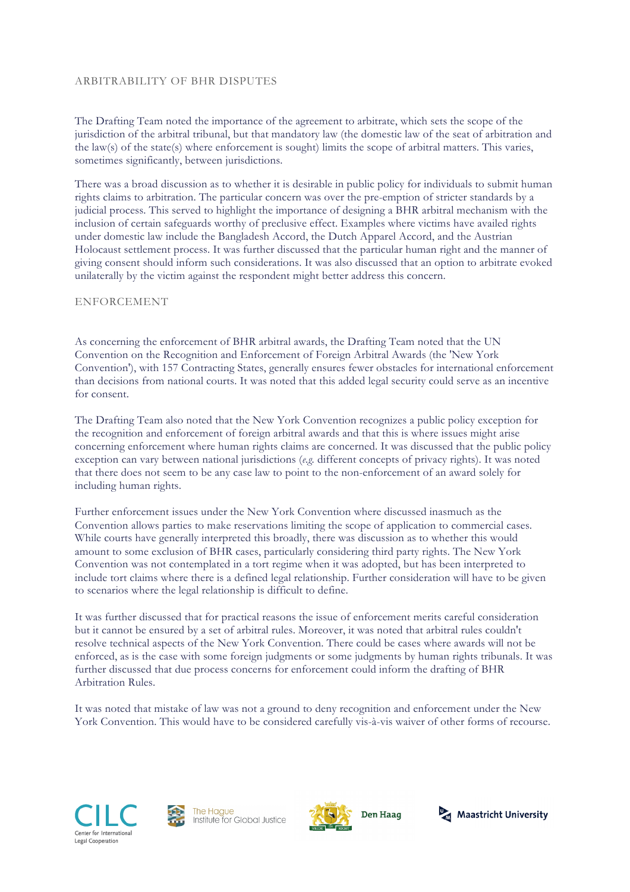#### ARBITRABILITY OF BHR DISPUTES

The Drafting Team noted the importance of the agreement to arbitrate, which sets the scope of the jurisdiction of the arbitral tribunal, but that mandatory law (the domestic law of the seat of arbitration and the law(s) of the state(s) where enforcement is sought) limits the scope of arbitral matters. This varies, sometimes significantly, between jurisdictions.

There was a broad discussion as to whether it is desirable in public policy for individuals to submit human rights claims to arbitration. The particular concern was over the pre-emption of stricter standards by a judicial process. This served to highlight the importance of designing a BHR arbitral mechanism with the inclusion of certain safeguards worthy of preclusive effect. Examples where victims have availed rights under domestic law include the Bangladesh Accord, the Dutch Apparel Accord, and the Austrian Holocaust settlement process. It was further discussed that the particular human right and the manner of giving consent should inform such considerations. It was also discussed that an option to arbitrate evoked unilaterally by the victim against the respondent might better address this concern.

#### ENFORCEMENT

As concerning the enforcement of BHR arbitral awards, the Drafting Team noted that the UN Convention on the Recognition and Enforcement of Foreign Arbitral Awards (the 'New York Convention'), with 157 Contracting States, generally ensures fewer obstacles for international enforcement than decisions from national courts. It was noted that this added legal security could serve as an incentive for consent.

The Drafting Team also noted that the New York Convention recognizes a public policy exception for the recognition and enforcement of foreign arbitral awards and that this is where issues might arise concerning enforcement where human rights claims are concerned. It was discussed that the public policy exception can vary between national jurisdictions (*e.g.* different concepts of privacy rights). It was noted that there does not seem to be any case law to point to the non-enforcement of an award solely for including human rights.

Further enforcement issues under the New York Convention where discussed inasmuch as the Convention allows parties to make reservations limiting the scope of application to commercial cases. While courts have generally interpreted this broadly, there was discussion as to whether this would amount to some exclusion of BHR cases, particularly considering third party rights. The New York Convention was not contemplated in a tort regime when it was adopted, but has been interpreted to include tort claims where there is a defined legal relationship. Further consideration will have to be given to scenarios where the legal relationship is difficult to define.

It was further discussed that for practical reasons the issue of enforcement merits careful consideration but it cannot be ensured by a set of arbitral rules. Moreover, it was noted that arbitral rules couldn't resolve technical aspects of the New York Convention. There could be cases where awards will not be enforced, as is the case with some foreign judgments or some judgments by human rights tribunals. It was further discussed that due process concerns for enforcement could inform the drafting of BHR Arbitration Rules.

It was noted that mistake of law was not a ground to deny recognition and enforcement under the New York Convention. This would have to be considered carefully vis-à-vis waiver of other forms of recourse.







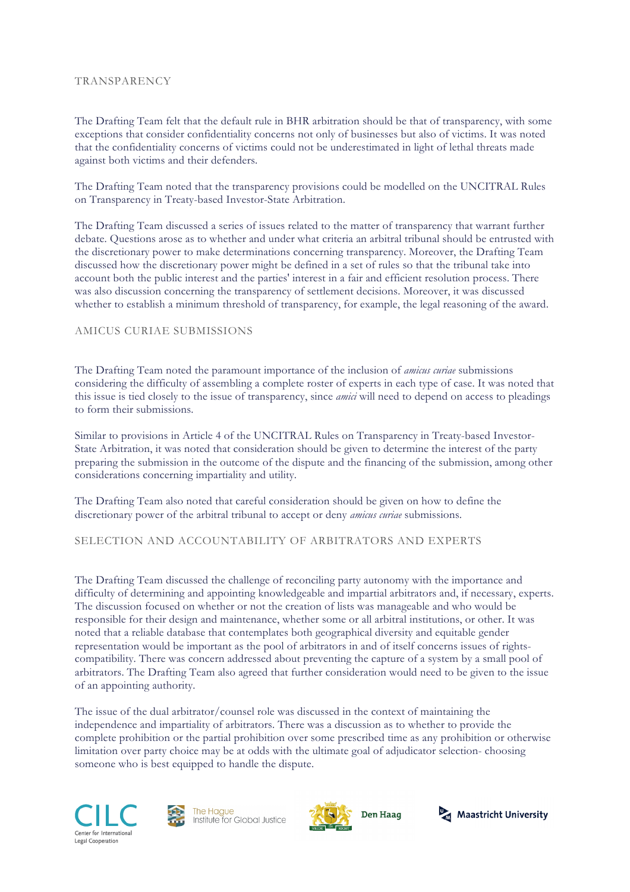#### **TRANSPARENCY**

The Drafting Team felt that the default rule in BHR arbitration should be that of transparency, with some exceptions that consider confidentiality concerns not only of businesses but also of victims. It was noted that the confidentiality concerns of victims could not be underestimated in light of lethal threats made against both victims and their defenders.

The Drafting Team noted that the transparency provisions could be modelled on the UNCITRAL Rules on Transparency in Treaty-based Investor-State Arbitration.

The Drafting Team discussed a series of issues related to the matter of transparency that warrant further debate. Questions arose as to whether and under what criteria an arbitral tribunal should be entrusted with the discretionary power to make determinations concerning transparency. Moreover, the Drafting Team discussed how the discretionary power might be defined in a set of rules so that the tribunal take into account both the public interest and the parties' interest in a fair and efficient resolution process. There was also discussion concerning the transparency of settlement decisions. Moreover, it was discussed whether to establish a minimum threshold of transparency, for example, the legal reasoning of the award.

## AMICUS CURIAE SUBMISSIONS

The Drafting Team noted the paramount importance of the inclusion of *amicus curiae* submissions considering the difficulty of assembling a complete roster of experts in each type of case. It was noted that this issue is tied closely to the issue of transparency, since *amici* will need to depend on access to pleadings to form their submissions.

Similar to provisions in Article 4 of the UNCITRAL Rules on Transparency in Treaty-based Investor-State Arbitration, it was noted that consideration should be given to determine the interest of the party preparing the submission in the outcome of the dispute and the financing of the submission, among other considerations concerning impartiality and utility.

The Drafting Team also noted that careful consideration should be given on how to define the discretionary power of the arbitral tribunal to accept or deny *amicus curiae* submissions.

## SELECTION AND ACCOUNTABILITY OF ARBITRATORS AND EXPERTS

The Drafting Team discussed the challenge of reconciling party autonomy with the importance and difficulty of determining and appointing knowledgeable and impartial arbitrators and, if necessary, experts. The discussion focused on whether or not the creation of lists was manageable and who would be responsible for their design and maintenance, whether some or all arbitral institutions, or other. It was noted that a reliable database that contemplates both geographical diversity and equitable gender representation would be important as the pool of arbitrators in and of itself concerns issues of rightscompatibility. There was concern addressed about preventing the capture of a system by a small pool of arbitrators. The Drafting Team also agreed that further consideration would need to be given to the issue of an appointing authority.

The issue of the dual arbitrator/counsel role was discussed in the context of maintaining the independence and impartiality of arbitrators. There was a discussion as to whether to provide the complete prohibition or the partial prohibition over some prescribed time as any prohibition or otherwise limitation over party choice may be at odds with the ultimate goal of adjudicator selection- choosing someone who is best equipped to handle the dispute.







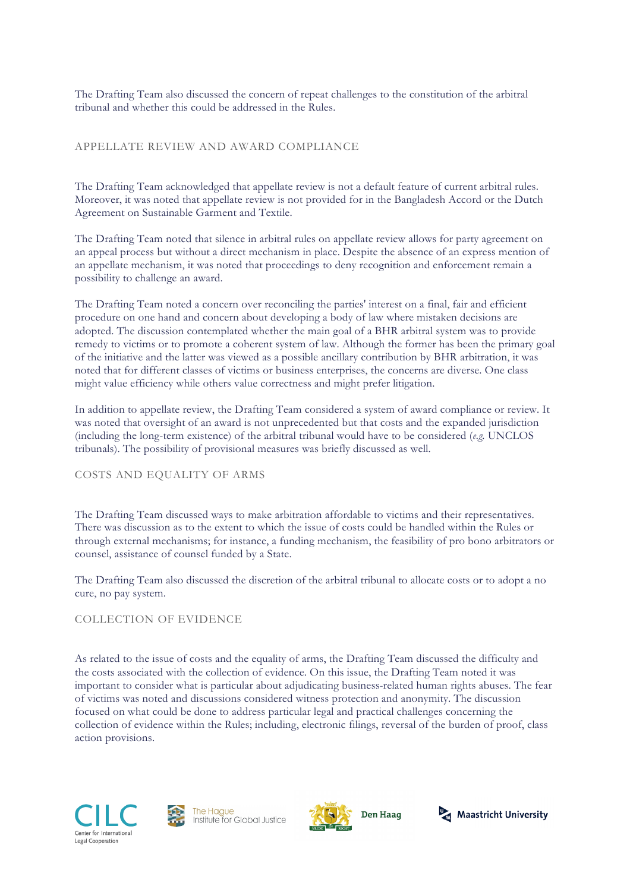The Drafting Team also discussed the concern of repeat challenges to the constitution of the arbitral tribunal and whether this could be addressed in the Rules.

#### APPELLATE REVIEW AND AWARD COMPLIANCE

The Drafting Team acknowledged that appellate review is not a default feature of current arbitral rules. Moreover, it was noted that appellate review is not provided for in the Bangladesh Accord or the Dutch Agreement on Sustainable Garment and Textile.

The Drafting Team noted that silence in arbitral rules on appellate review allows for party agreement on an appeal process but without a direct mechanism in place. Despite the absence of an express mention of an appellate mechanism, it was noted that proceedings to deny recognition and enforcement remain a possibility to challenge an award.

The Drafting Team noted a concern over reconciling the parties' interest on a final, fair and efficient procedure on one hand and concern about developing a body of law where mistaken decisions are adopted. The discussion contemplated whether the main goal of a BHR arbitral system was to provide remedy to victims or to promote a coherent system of law. Although the former has been the primary goal of the initiative and the latter was viewed as a possible ancillary contribution by BHR arbitration, it was noted that for different classes of victims or business enterprises, the concerns are diverse. One class might value efficiency while others value correctness and might prefer litigation.

In addition to appellate review, the Drafting Team considered a system of award compliance or review. It was noted that oversight of an award is not unprecedented but that costs and the expanded jurisdiction (including the long-term existence) of the arbitral tribunal would have to be considered (*e.g.* UNCLOS tribunals). The possibility of provisional measures was briefly discussed as well.

## COSTS AND EQUALITY OF ARMS

The Drafting Team discussed ways to make arbitration affordable to victims and their representatives. There was discussion as to the extent to which the issue of costs could be handled within the Rules or through external mechanisms; for instance, a funding mechanism, the feasibility of pro bono arbitrators or counsel, assistance of counsel funded by a State.

The Drafting Team also discussed the discretion of the arbitral tribunal to allocate costs or to adopt a no cure, no pay system.

#### COLLECTION OF EVIDENCE

As related to the issue of costs and the equality of arms, the Drafting Team discussed the difficulty and the costs associated with the collection of evidence. On this issue, the Drafting Team noted it was important to consider what is particular about adjudicating business-related human rights abuses. The fear of victims was noted and discussions considered witness protection and anonymity. The discussion focused on what could be done to address particular legal and practical challenges concerning the collection of evidence within the Rules; including, electronic filings, reversal of the burden of proof, class action provisions.







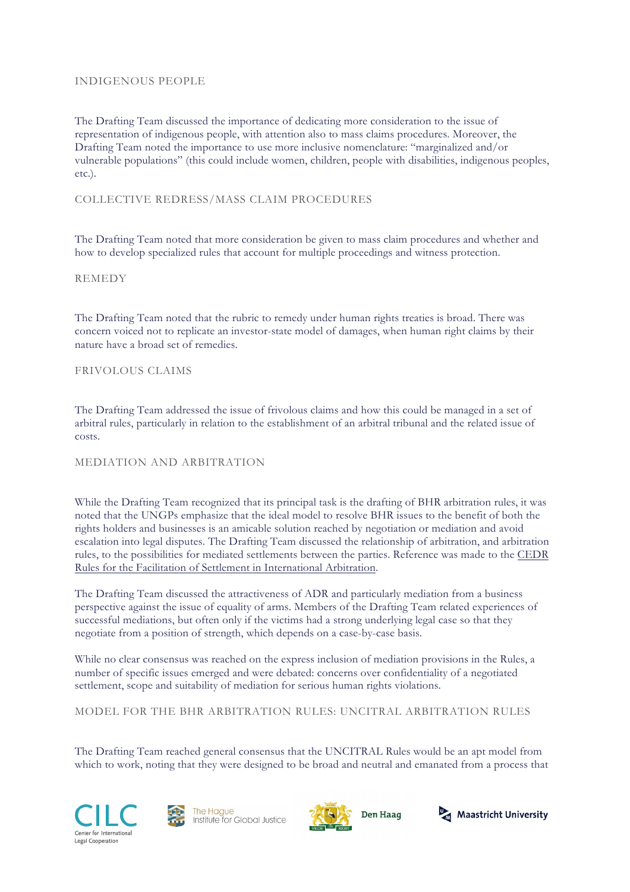#### INDIGENOUS PEOPLE

The Drafting Team discussed the importance of dedicating more consideration to the issue of representation of indigenous people, with attention also to mass claims procedures. Moreover, the Drafting Team noted the importance to use more inclusive nomenclature: "marginalized and/or vulnerable populations" (this could include women, children, people with disabilities, indigenous peoples, etc.).

## COLLECTIVE REDRESS/MASS CLAIM PROCEDURES

The Drafting Team noted that more consideration be given to mass claim procedures and whether and how to develop specialized rules that account for multiple proceedings and witness protection.

#### **REMEDY**

The Drafting Team noted that the rubric to remedy under human rights treaties is broad. There was concern voiced not to replicate an investor-state model of damages, when human right claims by their nature have a broad set of remedies.

#### FRIVOLOUS CLAIMS

The Drafting Team addressed the issue of frivolous claims and how this could be managed in a set of arbitral rules, particularly in relation to the establishment of an arbitral tribunal and the related issue of costs.

## MEDIATION AND ARBITRATION

While the Drafting Team recognized that its principal task is the drafting of BHR arbitration rules, it was noted that the UNGPs emphasize that the ideal model to resolve BHR issues to the benefit of both the rights holders and businesses is an amicable solution reached by negotiation or mediation and avoid escalation into legal disputes. The Drafting Team discussed the relationship of arbitration, and arbitration rules, to the possibilities for mediated settlements between the parties. Reference was made to the CEDR Rules for the Facilitation of Settlement in International Arbitration.

The Drafting Team discussed the attractiveness of ADR and particularly mediation from a business perspective against the issue of equality of arms. Members of the Drafting Team related experiences of successful mediations, but often only if the victims had a strong underlying legal case so that they negotiate from a position of strength, which depends on a case-by-case basis.

While no clear consensus was reached on the express inclusion of mediation provisions in the Rules, a number of specific issues emerged and were debated: concerns over confidentiality of a negotiated settlement, scope and suitability of mediation for serious human rights violations.

MODEL FOR THE BHR ARBITRATION RULES: UNCITRAL ARBITRATION RULES

The Drafting Team reached general consensus that the UNCITRAL Rules would be an apt model from which to work, noting that they were designed to be broad and neutral and emanated from a process that







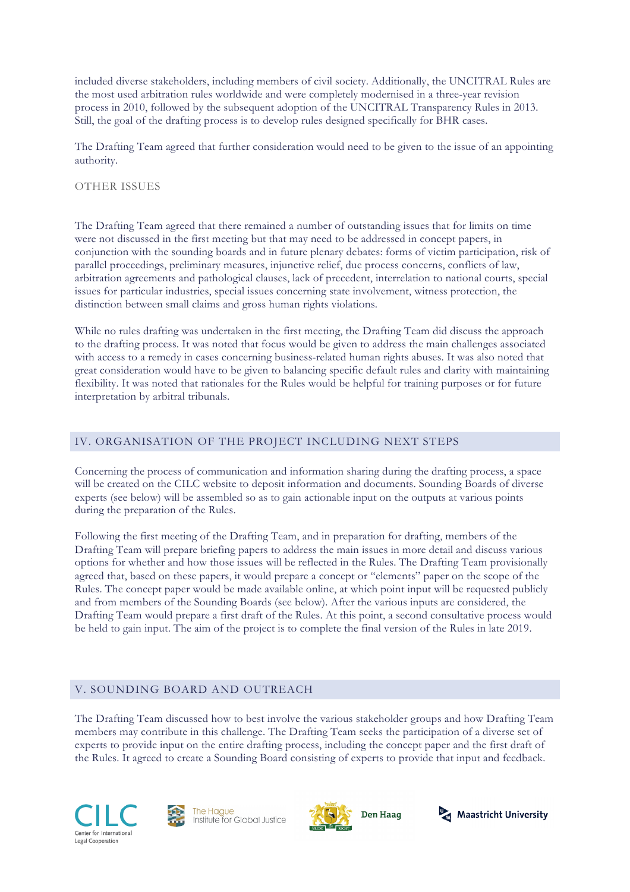included diverse stakeholders, including members of civil society. Additionally, the UNCITRAL Rules are the most used arbitration rules worldwide and were completely modernised in a three-year revision process in 2010, followed by the subsequent adoption of the UNCITRAL Transparency Rules in 2013. Still, the goal of the drafting process is to develop rules designed specifically for BHR cases.

The Drafting Team agreed that further consideration would need to be given to the issue of an appointing authority.

## OTHER ISSUES

The Drafting Team agreed that there remained a number of outstanding issues that for limits on time were not discussed in the first meeting but that may need to be addressed in concept papers, in conjunction with the sounding boards and in future plenary debates: forms of victim participation, risk of parallel proceedings, preliminary measures, injunctive relief, due process concerns, conflicts of law, arbitration agreements and pathological clauses, lack of precedent, interrelation to national courts, special issues for particular industries, special issues concerning state involvement, witness protection, the distinction between small claims and gross human rights violations.

While no rules drafting was undertaken in the first meeting, the Drafting Team did discuss the approach to the drafting process. It was noted that focus would be given to address the main challenges associated with access to a remedy in cases concerning business-related human rights abuses. It was also noted that great consideration would have to be given to balancing specific default rules and clarity with maintaining flexibility. It was noted that rationales for the Rules would be helpful for training purposes or for future interpretation by arbitral tribunals.

## IV. ORGANISATION OF THE PROJECT INCLUDING NEXT STEPS

Concerning the process of communication and information sharing during the drafting process, a space will be created on the CILC website to deposit information and documents. Sounding Boards of diverse experts (see below) will be assembled so as to gain actionable input on the outputs at various points during the preparation of the Rules.

Following the first meeting of the Drafting Team, and in preparation for drafting, members of the Drafting Team will prepare briefing papers to address the main issues in more detail and discuss various options for whether and how those issues will be reflected in the Rules. The Drafting Team provisionally agreed that, based on these papers, it would prepare a concept or "elements" paper on the scope of the Rules. The concept paper would be made available online, at which point input will be requested publicly and from members of the Sounding Boards (see below). After the various inputs are considered, the Drafting Team would prepare a first draft of the Rules. At this point, a second consultative process would be held to gain input. The aim of the project is to complete the final version of the Rules in late 2019.

# V. SOUNDING BOARD AND OUTREACH

The Drafting Team discussed how to best involve the various stakeholder groups and how Drafting Team members may contribute in this challenge. The Drafting Team seeks the participation of a diverse set of experts to provide input on the entire drafting process, including the concept paper and the first draft of the Rules. It agreed to create a Sounding Board consisting of experts to provide that input and feedback.